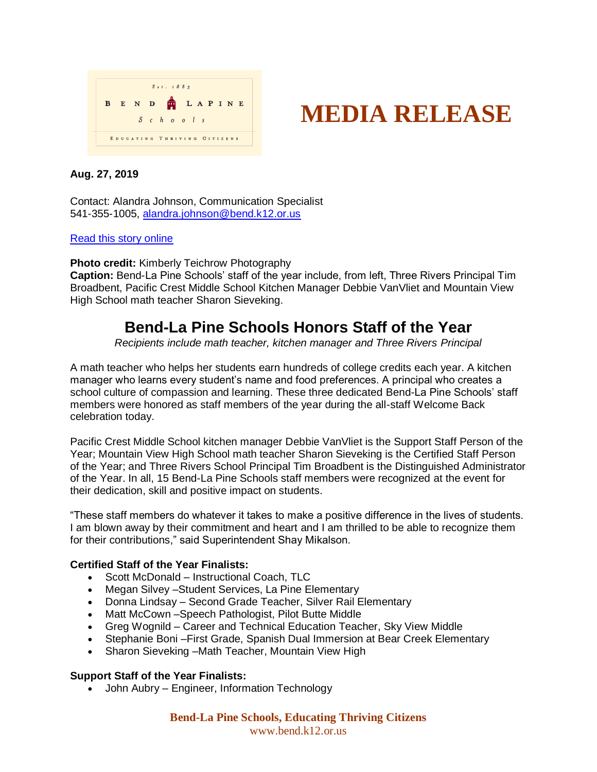



# **Aug. 27, 2019**

Contact: Alandra Johnson, Communication Specialist 541-355-1005, [alandra.johnson@bend.k12.or.us](mailto:alandra.johnson@bend.k12.or.us)

## [Read this story online](https://www.bend.k12.or.us/district/news-events/news/2019/08/honoring-staff-year)

**Photo credit:** Kimberly Teichrow Photography

**Caption:** Bend-La Pine Schools' staff of the year include, from left, Three Rivers Principal Tim Broadbent, Pacific Crest Middle School Kitchen Manager Debbie VanVliet and Mountain View High School math teacher Sharon Sieveking.

# **Bend-La Pine Schools Honors Staff of the Year**

*Recipients include math teacher, kitchen manager and Three Rivers Principal*

A math teacher who helps her students earn hundreds of college credits each year. A kitchen manager who learns every student's name and food preferences. A principal who creates a school culture of compassion and learning. These three dedicated Bend-La Pine Schools' staff members were honored as staff members of the year during the all-staff Welcome Back celebration today.

Pacific Crest Middle School kitchen manager Debbie VanVliet is the Support Staff Person of the Year; Mountain View High School math teacher Sharon Sieveking is the Certified Staff Person of the Year; and Three Rivers School Principal Tim Broadbent is the Distinguished Administrator of the Year. In all, 15 Bend-La Pine Schools staff members were recognized at the event for their dedication, skill and positive impact on students.

"These staff members do whatever it takes to make a positive difference in the lives of students. I am blown away by their commitment and heart and I am thrilled to be able to recognize them for their contributions," said Superintendent Shay Mikalson.

# **Certified Staff of the Year Finalists:**

- Scott McDonald Instructional Coach, TLC
- Megan Silvey –Student Services, La Pine Elementary
- Donna Lindsay Second Grade Teacher, Silver Rail Elementary
- Matt McCown –Speech Pathologist, Pilot Butte Middle
- Greg Wognild Career and Technical Education Teacher, Sky View Middle
- Stephanie Boni –First Grade, Spanish Dual Immersion at Bear Creek Elementary
- Sharon Sieveking –Math Teacher, Mountain View High

#### **Support Staff of the Year Finalists:**

• John Aubry – Engineer, Information Technology